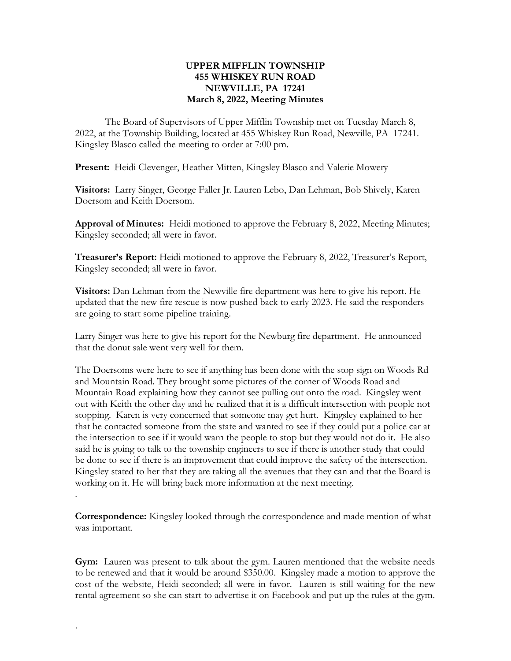## UPPER MIFFLIN TOWNSHIP 455 WHISKEY RUN ROAD NEWVILLE, PA 17241 March 8, 2022, Meeting Minutes

The Board of Supervisors of Upper Mifflin Township met on Tuesday March 8, 2022, at the Township Building, located at 455 Whiskey Run Road, Newville, PA 17241. Kingsley Blasco called the meeting to order at 7:00 pm.

Present: Heidi Clevenger, Heather Mitten, Kingsley Blasco and Valerie Mowery

Visitors: Larry Singer, George Faller Jr. Lauren Lebo, Dan Lehman, Bob Shively, Karen Doersom and Keith Doersom.

Approval of Minutes: Heidi motioned to approve the February 8, 2022, Meeting Minutes; Kingsley seconded; all were in favor.

**Treasurer's Report:** Heidi motioned to approve the February 8, 2022, Treasurer's Report, Kingsley seconded; all were in favor.

Visitors: Dan Lehman from the Newville fire department was here to give his report. He updated that the new fire rescue is now pushed back to early 2023. He said the responders are going to start some pipeline training.

Larry Singer was here to give his report for the Newburg fire department. He announced that the donut sale went very well for them.

The Doersoms were here to see if anything has been done with the stop sign on Woods Rd and Mountain Road. They brought some pictures of the corner of Woods Road and Mountain Road explaining how they cannot see pulling out onto the road. Kingsley went out with Keith the other day and he realized that it is a difficult intersection with people not stopping. Karen is very concerned that someone may get hurt. Kingsley explained to her that he contacted someone from the state and wanted to see if they could put a police car at the intersection to see if it would warn the people to stop but they would not do it. He also said he is going to talk to the township engineers to see if there is another study that could be done to see if there is an improvement that could improve the safety of the intersection. Kingsley stated to her that they are taking all the avenues that they can and that the Board is working on it. He will bring back more information at the next meeting.

Correspondence: Kingsley looked through the correspondence and made mention of what was important.

Gym: Lauren was present to talk about the gym. Lauren mentioned that the website needs to be renewed and that it would be around \$350.00. Kingsley made a motion to approve the cost of the website, Heidi seconded; all were in favor. Lauren is still waiting for the new rental agreement so she can start to advertise it on Facebook and put up the rules at the gym.

.

.